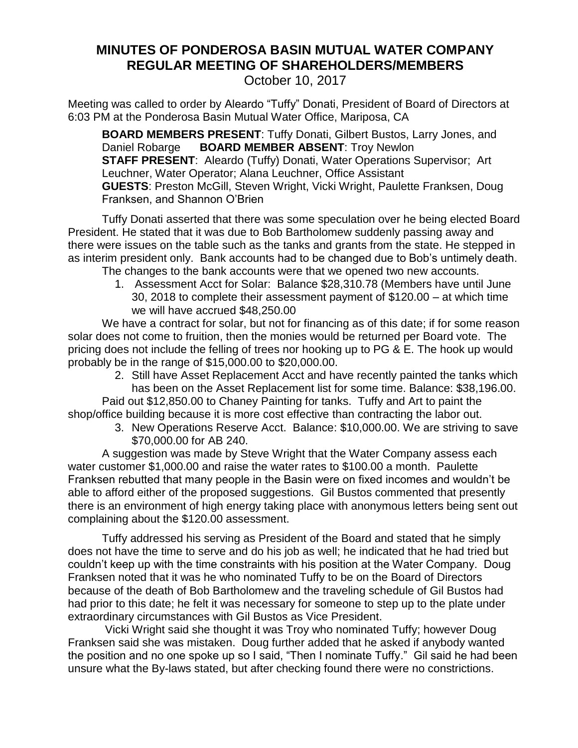## **MINUTES OF PONDEROSA BASIN MUTUAL WATER COMPANY REGULAR MEETING OF SHAREHOLDERS/MEMBERS**

October 10, 2017

Meeting was called to order by Aleardo "Tuffy" Donati, President of Board of Directors at 6:03 PM at the Ponderosa Basin Mutual Water Office, Mariposa, CA

**BOARD MEMBERS PRESENT**: Tuffy Donati, Gilbert Bustos, Larry Jones, and Daniel Robarge **BOARD MEMBER ABSENT**: Troy Newlon **STAFF PRESENT:** Aleardo (Tuffy) Donati, Water Operations Supervisor; Art Leuchner, Water Operator; Alana Leuchner, Office Assistant **GUESTS**: Preston McGill, Steven Wright, Vicki Wright, Paulette Franksen, Doug Franksen, and Shannon O'Brien

Tuffy Donati asserted that there was some speculation over he being elected Board President. He stated that it was due to Bob Bartholomew suddenly passing away and there were issues on the table such as the tanks and grants from the state. He stepped in as interim president only. Bank accounts had to be changed due to Bob's untimely death.

The changes to the bank accounts were that we opened two new accounts.

1. Assessment Acct for Solar: Balance \$28,310.78 (Members have until June 30, 2018 to complete their assessment payment of \$120.00 – at which time we will have accrued \$48,250.00

We have a contract for solar, but not for financing as of this date; if for some reason solar does not come to fruition, then the monies would be returned per Board vote. The pricing does not include the felling of trees nor hooking up to PG & E. The hook up would probably be in the range of \$15,000.00 to \$20,000.00.

2. Still have Asset Replacement Acct and have recently painted the tanks which has been on the Asset Replacement list for some time. Balance: \$38,196.00.

Paid out \$12,850.00 to Chaney Painting for tanks. Tuffy and Art to paint the shop/office building because it is more cost effective than contracting the labor out.

3. New Operations Reserve Acct. Balance: \$10,000.00. We are striving to save \$70,000.00 for AB 240.

A suggestion was made by Steve Wright that the Water Company assess each water customer \$1,000.00 and raise the water rates to \$100.00 a month. Paulette Franksen rebutted that many people in the Basin were on fixed incomes and wouldn't be able to afford either of the proposed suggestions. Gil Bustos commented that presently there is an environment of high energy taking place with anonymous letters being sent out complaining about the \$120.00 assessment.

Tuffy addressed his serving as President of the Board and stated that he simply does not have the time to serve and do his job as well; he indicated that he had tried but couldn't keep up with the time constraints with his position at the Water Company. Doug Franksen noted that it was he who nominated Tuffy to be on the Board of Directors because of the death of Bob Bartholomew and the traveling schedule of Gil Bustos had had prior to this date; he felt it was necessary for someone to step up to the plate under extraordinary circumstances with Gil Bustos as Vice President.

Vicki Wright said she thought it was Troy who nominated Tuffy; however Doug Franksen said she was mistaken. Doug further added that he asked if anybody wanted the position and no one spoke up so I said, "Then I nominate Tuffy." Gil said he had been unsure what the By-laws stated, but after checking found there were no constrictions.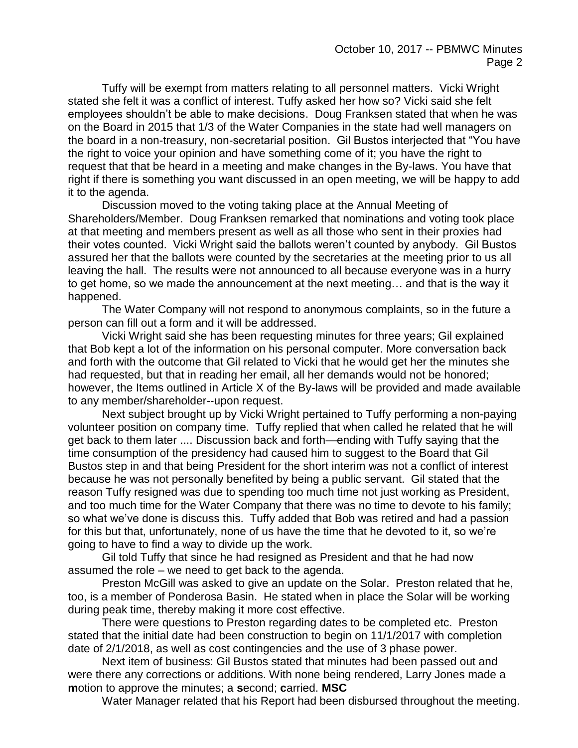Tuffy will be exempt from matters relating to all personnel matters. Vicki Wright stated she felt it was a conflict of interest. Tuffy asked her how so? Vicki said she felt employees shouldn't be able to make decisions. Doug Franksen stated that when he was on the Board in 2015 that 1/3 of the Water Companies in the state had well managers on the board in a non-treasury, non-secretarial position. Gil Bustos interjected that "You have the right to voice your opinion and have something come of it; you have the right to request that that be heard in a meeting and make changes in the By-laws. You have that right if there is something you want discussed in an open meeting, we will be happy to add it to the agenda.

Discussion moved to the voting taking place at the Annual Meeting of Shareholders/Member. Doug Franksen remarked that nominations and voting took place at that meeting and members present as well as all those who sent in their proxies had their votes counted. Vicki Wright said the ballots weren't counted by anybody. Gil Bustos assured her that the ballots were counted by the secretaries at the meeting prior to us all leaving the hall. The results were not announced to all because everyone was in a hurry to get home, so we made the announcement at the next meeting… and that is the way it happened.

The Water Company will not respond to anonymous complaints, so in the future a person can fill out a form and it will be addressed.

Vicki Wright said she has been requesting minutes for three years; Gil explained that Bob kept a lot of the information on his personal computer. More conversation back and forth with the outcome that Gil related to Vicki that he would get her the minutes she had requested, but that in reading her email, all her demands would not be honored; however, the Items outlined in Article X of the By-laws will be provided and made available to any member/shareholder--upon request.

Next subject brought up by Vicki Wright pertained to Tuffy performing a non-paying volunteer position on company time. Tuffy replied that when called he related that he will get back to them later .... Discussion back and forth—ending with Tuffy saying that the time consumption of the presidency had caused him to suggest to the Board that Gil Bustos step in and that being President for the short interim was not a conflict of interest because he was not personally benefited by being a public servant. Gil stated that the reason Tuffy resigned was due to spending too much time not just working as President, and too much time for the Water Company that there was no time to devote to his family; so what we've done is discuss this. Tuffy added that Bob was retired and had a passion for this but that, unfortunately, none of us have the time that he devoted to it, so we're going to have to find a way to divide up the work.

Gil told Tuffy that since he had resigned as President and that he had now assumed the role – we need to get back to the agenda.

Preston McGill was asked to give an update on the Solar. Preston related that he, too, is a member of Ponderosa Basin. He stated when in place the Solar will be working during peak time, thereby making it more cost effective.

There were questions to Preston regarding dates to be completed etc. Preston stated that the initial date had been construction to begin on 11/1/2017 with completion date of 2/1/2018, as well as cost contingencies and the use of 3 phase power.

Next item of business: Gil Bustos stated that minutes had been passed out and were there any corrections or additions. With none being rendered, Larry Jones made a **m**otion to approve the minutes; a **s**econd; **c**arried. **MSC**

Water Manager related that his Report had been disbursed throughout the meeting.